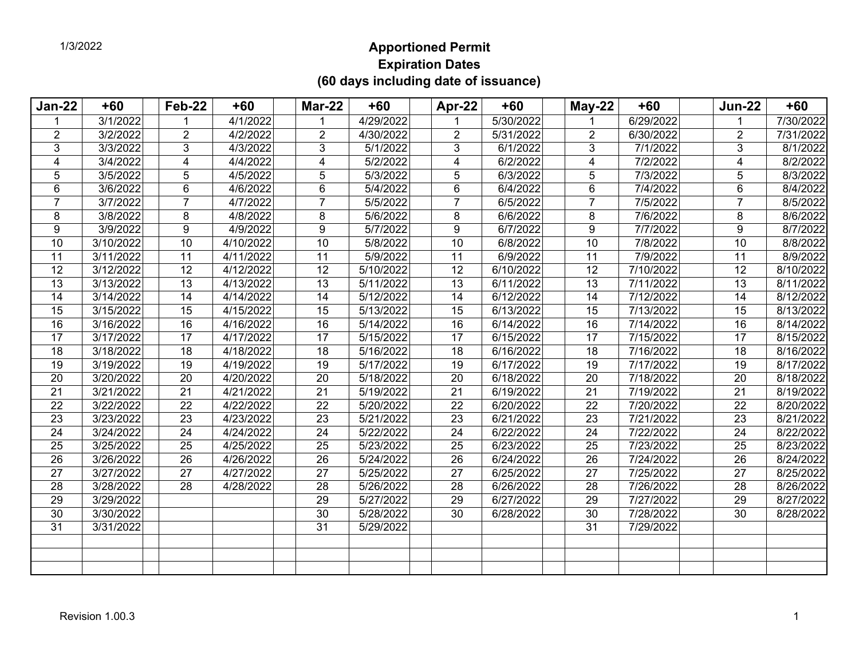## **Apportioned Permit Expiration Dates (60 days including date of issuance)**

| <b>Jan-22</b>   | $+60$     | Feb-22          | $+60$     | <b>Mar-22</b>   | $+60$                  | Apr-22          | $+60$     | $May-22$        | $+60$     | <b>Jun-22</b>   | $+60$     |
|-----------------|-----------|-----------------|-----------|-----------------|------------------------|-----------------|-----------|-----------------|-----------|-----------------|-----------|
| $\mathbf 1$     | 3/1/2022  |                 | 4/1/2022  | 1               | 4/29/2022              |                 | 5/30/2022 |                 | 6/29/2022 | $\mathbf 1$     | 7/30/2022 |
| $\overline{2}$  | 3/2/2022  | $\overline{2}$  | 4/2/2022  | $\overline{2}$  | 4/30/2022              | $\overline{2}$  | 5/31/2022 | $\overline{2}$  | 6/30/2022 | $\overline{2}$  | 7/31/2022 |
| 3               | 3/3/2022  | 3               | 4/3/2022  | 3               | 5/1/2022               | 3               | 6/1/2022  | 3               | 7/1/2022  | 3               | 8/1/2022  |
| 4               | 3/4/2022  | 4               | 4/4/2022  | $\overline{4}$  | 5/2/2022               | 4               | 6/2/2022  | 4               | 7/2/2022  | 4               | 8/2/2022  |
| 5               | 3/5/2022  | 5               | 4/5/2022  | 5               | 5/3/2022               | 5               | 6/3/2022  | 5               | 7/3/2022  | 5               | 8/3/2022  |
| 6               | 3/6/2022  | 6               | 4/6/2022  | 6               | 5/4/2022               | 6               | 6/4/2022  | 6               | 7/4/2022  | 6               | 8/4/2022  |
| $\overline{7}$  | 3/7/2022  | 7               | 4/7/2022  | $\overline{7}$  | 5/5/2022               | $\overline{7}$  | 6/5/2022  | $\overline{7}$  | 7/5/2022  | $\overline{7}$  | 8/5/2022  |
| 8               | 3/8/2022  | 8               | 4/8/2022  | 8               | 5/6/2022               | 8               | 6/6/2022  | 8               | 7/6/2022  | 8               | 8/6/2022  |
| 9               | 3/9/2022  | 9               | 4/9/2022  | 9               | 5/7/2022               | 9               | 6/7/2022  | 9               | 7/7/2022  | $9\,$           | 8/7/2022  |
| 10              | 3/10/2022 | 10              | 4/10/2022 | 10              | 5/8/2022               | $\overline{10}$ | 6/8/2022  | 10              | 7/8/2022  | 10              | 8/8/2022  |
| 11              | 3/11/2022 | 11              | 4/11/2022 | 11              | 5/9/2022               | 11              | 6/9/2022  | 11              | 7/9/2022  | 11              | 8/9/2022  |
| 12              | 3/12/2022 | 12              | 4/12/2022 | $\overline{12}$ | 5/10/2022              | 12              | 6/10/2022 | 12              | 7/10/2022 | 12              | 8/10/2022 |
| $\overline{13}$ | 3/13/2022 | 13              | 4/13/2022 | $\overline{13}$ | 5/11/2022              | 13              | 6/11/2022 | 13              | 7/11/2022 | $\overline{13}$ | 8/11/2022 |
| $\overline{14}$ | 3/14/2022 | 14              | 4/14/2022 | $\overline{14}$ | 5/12/2022              | 14              | 6/12/2022 | $\overline{14}$ | 7/12/2022 | $\overline{14}$ | 8/12/2022 |
| 15              | 3/15/2022 | 15              | 4/15/2022 | 15              | 5/13/2022              | 15              | 6/13/2022 | 15              | 7/13/2022 | 15              | 8/13/2022 |
| 16              | 3/16/2022 | 16              | 4/16/2022 | 16              | 5/14/2022              | 16              | 6/14/2022 | 16              | 7/14/2022 | 16              | 8/14/2022 |
| 17              | 3/17/2022 | $\overline{17}$ | 4/17/2022 | $\overline{17}$ | 5/15/2022              | $\overline{17}$ | 6/15/2022 | $\overline{17}$ | 7/15/2022 | $\overline{17}$ | 8/15/2022 |
| 18              | 3/18/2022 | 18              | 4/18/2022 | 18              | 5/16/2022              | 18              | 6/16/2022 | 18              | 7/16/2022 | 18              | 8/16/2022 |
| 19              | 3/19/2022 | 19              | 4/19/2022 | 19              | 5/17/2022              | 19              | 6/17/2022 | 19              | 7/17/2022 | 19              | 8/17/2022 |
| 20              | 3/20/2022 | 20              | 4/20/2022 | 20              | 5/18/2022              | 20              | 6/18/2022 | 20              | 7/18/2022 | 20              | 8/18/2022 |
| $\overline{21}$ | 3/21/2022 | $\overline{21}$ | 4/21/2022 | $\overline{21}$ | 5/19/2022              | $\overline{21}$ | 6/19/2022 | $\overline{21}$ | 7/19/2022 | $\overline{21}$ | 8/19/2022 |
| 22              | 3/22/2022 | 22              | 4/22/2022 | 22              | 5/20/2022              | 22              | 6/20/2022 | 22              | 7/20/2022 | 22              | 8/20/2022 |
| 23              | 3/23/2022 | 23              | 4/23/2022 | 23              | 5/21/2022              | 23              | 6/21/2022 | 23              | 7/21/2022 | 23              | 8/21/2022 |
| 24              | 3/24/2022 | 24              | 4/24/2022 | 24              | 5/22/2022              | 24              | 6/22/2022 | 24              | 7/22/2022 | 24              | 8/22/2022 |
| 25              | 3/25/2022 | 25              | 4/25/2022 | 25              | 5/23/2022              | 25              | 6/23/2022 | 25              | 7/23/2022 | 25              | 8/23/2022 |
| 26              | 3/26/2022 | 26              | 4/26/2022 | 26              | $\overline{5/24/2022}$ | 26              | 6/24/2022 | 26              | 7/24/2022 | 26              | 8/24/2022 |
| 27              | 3/27/2022 | 27              | 4/27/2022 | 27              | 5/25/2022              | 27              | 6/25/2022 | 27              | 7/25/2022 | 27              | 8/25/2022 |
| $\overline{28}$ | 3/28/2022 | 28              | 4/28/2022 | $\overline{28}$ | 5/26/2022              | 28              | 6/26/2022 | $\overline{28}$ | 7/26/2022 | 28              | 8/26/2022 |
| $\overline{29}$ | 3/29/2022 |                 |           | 29              | 5/27/2022              | 29              | 6/27/2022 | 29              | 7/27/2022 | 29              | 8/27/2022 |
| 30              | 3/30/2022 |                 |           | 30              | 5/28/2022              | 30              | 6/28/2022 | 30              | 7/28/2022 | 30              | 8/28/2022 |
| 31              | 3/31/2022 |                 |           | 31              | 5/29/2022              |                 |           | 31              | 7/29/2022 |                 |           |
|                 |           |                 |           |                 |                        |                 |           |                 |           |                 |           |
|                 |           |                 |           |                 |                        |                 |           |                 |           |                 |           |
|                 |           |                 |           |                 |                        |                 |           |                 |           |                 |           |